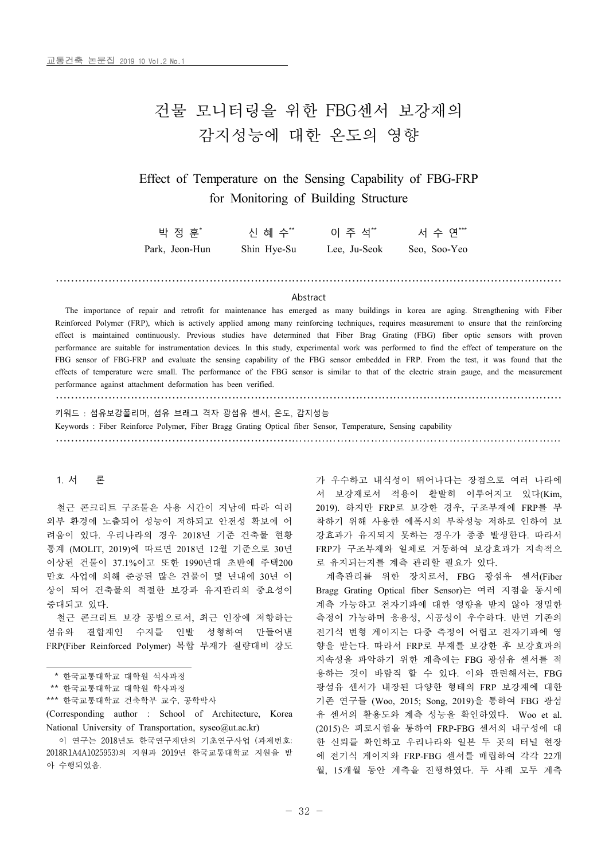# 건물 모니터링을 위한 FBG센서 보강재의 감지성능에 대한 온도의 영향

## Effect of Temperature on the Sensing Capability of FBG-FRP for Monitoring of Building Structure

| 박 정 훈*         | 신 혜 수**     | 이 주 석**      | 서 수 연***     |
|----------------|-------------|--------------|--------------|
| Park, Jeon-Hun | Shin Hye-Su | Lee. Ju-Seok | Seo. Soo-Yeo |

#### Abstract

………………………………………………………………………………………………………………………

The importance of repair and retrofit for maintenance has emerged as many buildings in korea are aging. Strengthening with Fiber Reinforced Polymer (FRP), which is actively applied among many reinforcing techniques, requires measurement to ensure that the reinforcing effect is maintained continuously. Previous studies have determined that Fiber Brag Grating (FBG) fiber optic sensors with proven performance are suitable for instrumentation devices. In this study, experimental work was performed to find the effect of temperature on the FBG sensor of FBG-FRP and evaluate the sensing capability of the FBG sensor embedded in FRP. From the test, it was found that the effects of temperature were small. The performance of the FBG sensor is similar to that of the electric strain gauge, and the measurement performance against attachment deformation has been verified.

……………………………………………………………………………………………………………………… 키워드 : 섬유보강폴리머, 섬유 브래그 격자 광섬유 센서, 온도, 감지성능 Keywords : Fiber Reinforce Polymer, Fiber Bragg Grating Optical fiber Sensor, Temperature, Sensing capability ………………………………………………………………………………………………………………………

## 1. 서 론

철근 콘크리트 구조물은 사용 시간이 지남에 따라 여러 외부 환경에 노출되어 성능이 저하되고 안전성 확보에 어 려움이 있다. 우리나라의 경우 2018년 기준 건축물 현황 통계 (MOLIT, 2019)에 따르면 2018년 12월 기준으로 30년 이상된 건물이 37.1%이고 또한 1990년대 초반에 주택200 만호 사업에 의해 준공된 많은 건물이 몇 년내에 30년 이 상이 되어 건축물의 적절한 보강과 유지관리의 중요성이 증대되고 있다.

철근 콘크리트 보강 공법으로서, 최근 인장에 저항하는 섬유와 결합재인 수지를 인발 성형하여 만들어낸 FRP(Fiber Reinforced Polymer) 복합 부재가 질량대비 강도

- \*\* 한국교통대학교 대학원 학사과정
- \*\*\* 한국교통대학교 건축학부 교수, 공학박사

(Corresponding author : School of Architecture, Korea National University of Transportation, syseo@ut.ac.kr)

가 우수하고 내식성이 뛰어나다는 장점으로 여러 나라에 서 보강재로서 적용이 활발히 이루어지고 있다(Kim, 2019). 하지만 FRP로 보강한 경우, 구조부재에 FRP를 부 착하기 위해 사용한 에폭시의 부착성능 저하로 인하여 보 강효과가 유지되지 못하는 경우가 종종 발생한다. 따라서 FRP가 구조부재와 일체로 거동하여 보강효과가 지속적으 로 유지되는지를 계측 관리할 필요가 있다.

계측관리를 위한 장치로서, FBG 광섬유 센서(Fiber Bragg Grating Optical fiber Sensor)는 여러 지점을 동시에 계측 가능하고 전자기파에 대한 영향을 받지 않아 정밀한 측정이 가능하며 응용성, 시공성이 우수하다. 반면 기존의 전기식 변형 게이지는 다중 측정이 어렵고 전자기파에 영 향을 받는다. 따라서 FRP로 부재를 보강한 후 보강효과의 지속성을 파악하기 위한 계측에는 FBG 광섬유 센서를 적 용하는 것이 바람직 할 수 있다. 이와 관련해서는, FBG 광섬유 센서가 내장된 다양한 형태의 FRP 보강재에 대한 기존 연구들 (Woo, 2015; Song, 2019)을 통하여 FBG 광섬 유 센서의 활용도와 계측 성능을 확인하였다. Woo et al. (2015)은 피로시험을 통하여 FRP-FBG 센서의 내구성에 대 한 신뢰를 확인하고 우리나라와 일본 두 곳의 터널 현장 에 전기식 게이지와 FRP-FBG 센서를 매립하여 각각 22개 월, 15개월 동안 계측을 진행하였다. 두 사례 모두 계측

 <sup>\*</sup> 한국교통대학교 대학원 석사과정

이 연구는 2018년도 한국연구재단의 기초연구사업 (과제번호: 2018R1A4A1025953)의 지원과 2019년 한국교통대학교 지원을 받 아 수행되었음.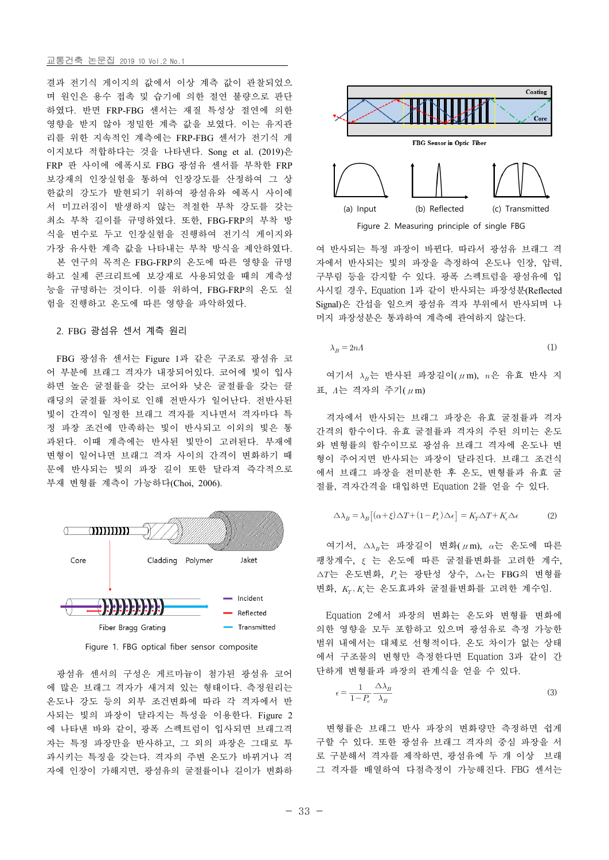## 교통건축 논문집 2019 10 Vol.2 No.1

결과 전기식 게이지의 값에서 이상 계측 값이 관찰되었으 며 원인은 용수 접촉 및 습기에 의한 절연 불량으로 판단 하였다. 반면 FRP-FBG 센서는 재질 특성상 절연에 의한 영향을 받지 않아 정밀한 계측 값을 보였다. 이는 유지관 리를 위한 지속적인 계측에는 FRP-FBG 센서가 전기식 게 이지보다 적합하다는 것을 나타낸다. Song et al. (2019)은 FRP 판 사이에 에폭시로 FBG 광섬유 센서를 부착한 FRP 보강재의 인장실험을 통하여 인장강도를 산정하여 그 상 한값의 강도가 발현되기 위하여 광섬유와 에폭시 사이에 서 미끄러짐이 발생하지 않는 적절한 부착 강도를 갖는 최소 부착 길이를 규명하였다. 또한, FBG-FRP의 부착 방 식을 변수로 두고 인장실험을 진행하여 전기식 게이지와 가장 유사한 계측 값을 나타내는 부착 방식을 제안하였다. 하고 실제 콘크리트에 보강재로 사용되었을 때의 계측성 능을 규명하는 것이다. 이를 위하여, FBG-FRP의 온도 실 험을 진행하고 온도에 따른 영향을 파악하였다.

## 2. FBG 광섬유 센서 계측 원리

FBG 광섬유 센서는 Figure 1과 같은 구조로 광섬유 코 어 부분에 브래그 격자가 내장되어있다. 코어에 빛이 입사 하면 높은 굴절률을 갖는 코어와 낮은 굴절률을 갖는 클 래딩의 굴절률 차이로 인해 전반사가 일어난다. 전반사된 빛이 간격이 일정한 브래그 격자를 지나면서 격자마다 특 정 파장 조건에 만족하는 빛이 반사되고 이외의 빛은 통 과된다. 이때 계측에는 반사된 빛만이 고려된다. 부재에 변형이 일어나면 브래그 격자 사이의 간격이 변화하기 때 문에 반사되는 빛의 파장 길이 또한 달라져 즉각적으로 부재 변형률 계측이 가능하다(Choi, 2006).



Figure 1. FBG optical fiber sensor composite

광섬유 센서의 구성은 게르마늄이 첨가된 광섬유 코어 에 많은 브래그 격자가 새겨져 있는 형태이다. 측정원리는 온도나 강도 등의 외부 조건변화에 따라 각 격자에서 반 사되는 빛의 파장이 달라지는 특성을 이용한다. Figure 2 에 나타낸 바와 같이, 광폭 스펙트럼이 입사되면 브래그격 자는 특정 파장만을 반사하고, 그 외의 파장은 그대로 투 과시키는 특징을 갖는다. 격자의 주변 온도가 바뀌거나 격 자에 인장이 가해지면, 광섬유의 굴절률이나 길이가 변화하



본 연구의 목적은 FBG-FRP의 온도에 따른 영향을 규명 제가에서 반사되는 빛의 파장을 측정하여 온도나 인장, 압력, 여 반사되는 특정 파장이 바뀐다. 따라서 광섬유 브래그 격 구부림 등을 감지할 수 있다. 광폭 스펙트럼을 광섬유에 입 사시킬 경우, Equation 1과 같이 반사되는 파장성분(Reflected Signal)은 간섭을 일으켜 광섬유 격자 부위에서 반사되며 나 머지 파장성분은 통과하여 계측에 관여하지 않는다.

$$
\lambda_B = 2nA \tag{1}
$$

여기서  $\lambda_n$ 는 반사된 파장길이( $\mu$ m),  $n$ 은 유효 반사 지 표,  $\Lambda$ 는 격자의 주기( $\mu$ m)

격자에서 반사되는 브래그 파장은 유효 굴절률과 격자 간격의 함수이다. 유효 굴절률과 격자의 주된 의미는 온도 와 변형률의 함수이므로 광섬유 브래그 격자에 온도나 변 형이 주어지면 반사되는 파장이 달라진다. 브래그 조건식 에서 브래그 파장을 전미분한 후 온도, 변형률과 유효 굴 절률, 격자간격을 대입하면 Equation 2를 얻을 수 있다.

$$
\Delta \lambda_B = \lambda_B \left[ (\alpha + \xi) \Delta T + (1 - P_e) \Delta \epsilon \right] = K_T \Delta T + K_{\epsilon} \Delta \epsilon \tag{2}
$$

여기서, ∆는 파장길이 변화(μm), 는 온도에 따른 팽창계수, 는 온도에 따른 굴절률변화를 고려한 계수,  $\triangle T$ 는 온도변화,  $P_e$ 는 광탄성 상수,  $\triangle \epsilon$ 는 FBG의 변형률 변화,  $K_{\!T}, K_{\!\epsilon}$ 는 온도효과와 굴절률변화를 고려한 계수임.

Equation 2에서 파장의 변화는 온도와 변형률 변화에 의한 영향을 모두 포함하고 있으며 광섬유로 측정 가능한 범위 내에서는 대체로 선형적이다. 온도 차이가 없는 상태 에서 구조물의 변형만 측정한다면 Equation 3과 같이 간

단하게 변형를과 과장의 관계식을 얻을 수 있다.  

$$
\epsilon = \frac{1}{1 - P_e} \frac{\Delta \lambda_B}{\lambda_B}
$$
 (3)

변형률은 브래그 반사 파장의 변화량만 측정하면 쉽게 구할 수 있다. 또한 광섬유 브래그 격자의 중심 파장을 서 로 구분해서 격자를 제작하면, 광섬유에 두 개 이상 브래 그 격자를 배열하여 다점측정이 가능해진다. FBG 센서는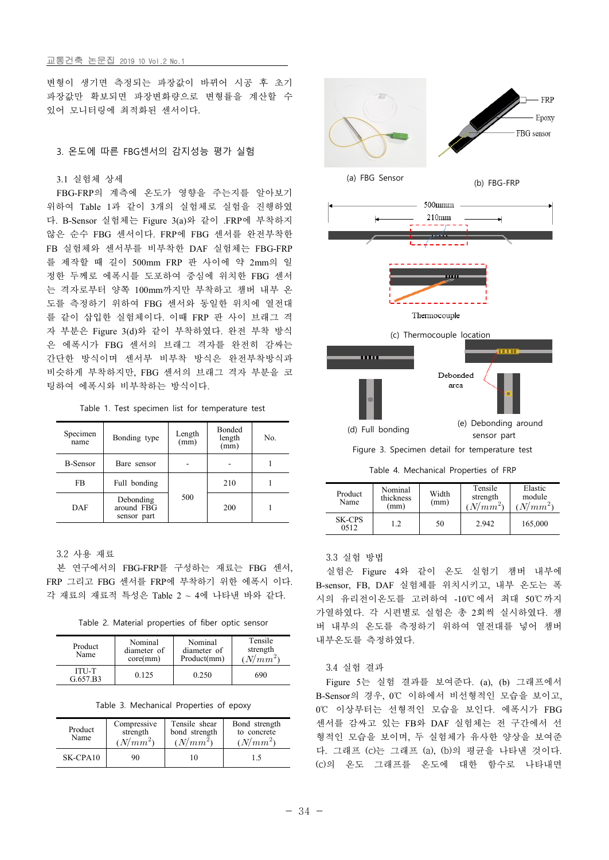## 교통건축 논문집 2019 10 Vol.2 No.1

변형이 생기면 측정되는 파장값이 바뀌어 시공 후 초기 파장값만 확보되면 파장변화량으로 변형률을 계산할 수 있어 모니터링에 최적화된 센서이다.

## 3. 온도에 따른 FBG센서의 감지성능 평가 실험

## 3.1 실험체 상세

FBG-FRP의 계측에 온도가 영향을 주는지를 알아보기 위하여 Table 1과 같이 3개의 실험체로 실험을 진행하였 다. B-Sensor 실험체는 Figure 3(a)와 같이 .FRP에 부착하지 않은 순수 FBG 센서이다. FRP에 FBG 센서를 완전부착한 FB 실험체와 센서부를 비부착한 DAF 실험체는 FBG-FRP 를 제작할 때 길이 500mm FRP 판 사이에 약 2mm의 일 정한 두께로 에폭시를 도포하여 중심에 위치한 FBG 센서 는 격자로부터 양쪽 100mm까지만 부착하고 챔버 내부 온 도를 측정하기 위하여 FBG 센서와 동일한 위치에 열전대 를 같이 삽입한 실험체이다. 이때 FRP 판 사이 브래그 격 자 부분은 Figure 3(d)와 같이 부착하였다. 완전 부착 방식 은 에폭시가 FBG 센서의 브래그 격자를 완전히 감싸는 간단한 방식이며 센서부 비부착 방식은 완전부착방식과 비슷하게 부착하지만, FBG 센서의 브래그 격자 부분을 코 팅하여 에폭시와 비부착하는 방식이다.

| Table 1. Test specimen list for temperature test |  |
|--------------------------------------------------|--|
|--------------------------------------------------|--|

| Specimen<br>name | Bonding type                           | Length<br>(mm) | <b>Bonded</b><br>length<br>(mm) | No. |
|------------------|----------------------------------------|----------------|---------------------------------|-----|
| <b>B-Sensor</b>  | Bare sensor                            |                |                                 |     |
| FB.              | Full bonding                           |                | 210                             |     |
| <b>DAF</b>       | Debonding<br>around FBG<br>sensor part | 500            | 200                             |     |

## 3.2 사용 재료

본 연구에서의 FBG-FRP를 구성하는 재료는 FBG 센서, FRP 그리고 FBG 센서를 FRP에 부착하기 위한 에폭시 이다. 각 재료의 재료적 특성은 Table 2 ~ 4에 나타낸 바와 같다.

Table 2. Material properties of fiber optic sensor

| Product<br>Name          | Nominal<br>diameter of<br>core(mm) | Nominal<br>diameter of<br>Product(mm) | Tensile<br>strength<br>$(N/mm^{2}$ | 내부      |
|--------------------------|------------------------------------|---------------------------------------|------------------------------------|---------|
| <b>ITU-T</b><br>G.657.B3 | 0.125                              | 0.250                                 | 690                                | 3.<br>F |

Table 3. Mechanical Properties of epoxy

| Product<br>Name | Compressive<br>strength<br>$(N/mm^2)$ | Tensile shear<br>bond strength<br>$(N/mm^2)$ | Bond strength<br>to concrete<br>$(N/mm^2)$ |
|-----------------|---------------------------------------|----------------------------------------------|--------------------------------------------|
| $SK-CPA10$      | 90                                    | 10                                           |                                            |



Table 4. Mechanical Properties of FRP

| Product<br>Name       | Nominal<br>thickness<br>(mm) | Width<br>(mm) | Tensile<br>strength<br>$N/mm^2$ | Elastic<br>module<br>$N/mm^2$ |
|-----------------------|------------------------------|---------------|---------------------------------|-------------------------------|
| <b>SK-CPS</b><br>0512 | 1.2                          | 50            | 2.942                           | 165,000                       |

## 3.3 실험 방법

실험은 Figure 4와 같이 온도 실험기 챔버 내부에 B-sensor, FB, DAF 실험체를 위치시키고, 내부 온도는 폭 시의 유리전이온도를 고려하여 -10℃에서 최대 50℃까지 가열하였다. 각 시편별로 실험은 총 2회씩 실시하였다. 챔 버 내부의 온도를 측정하기 위하여 열전대를 넣어 챔버 내부온도를 측정하였다.

## 3.4 실험 결과

Figure 5는 실험 결과를 보여준다. (a), (b) 그래프에서 B-Sensor의 경우, 0℃ 이하에서 비선형적인 모습을 보이고, 0℃ 이상부터는 선형적인 모습을 보인다. 에폭시가 FBG 센서를 감싸고 있는 FB와 DAF 실험체는 전 구간에서 선 형적인 모습을 보이며, 두 실험체가 유사한 양상을 보여준 다. 그래프 (c)는 그래프 (a), (b)의 평균을 나타낸 것이다. (c)의 온도 그래프를 온도에 대한 함수로 나타내면